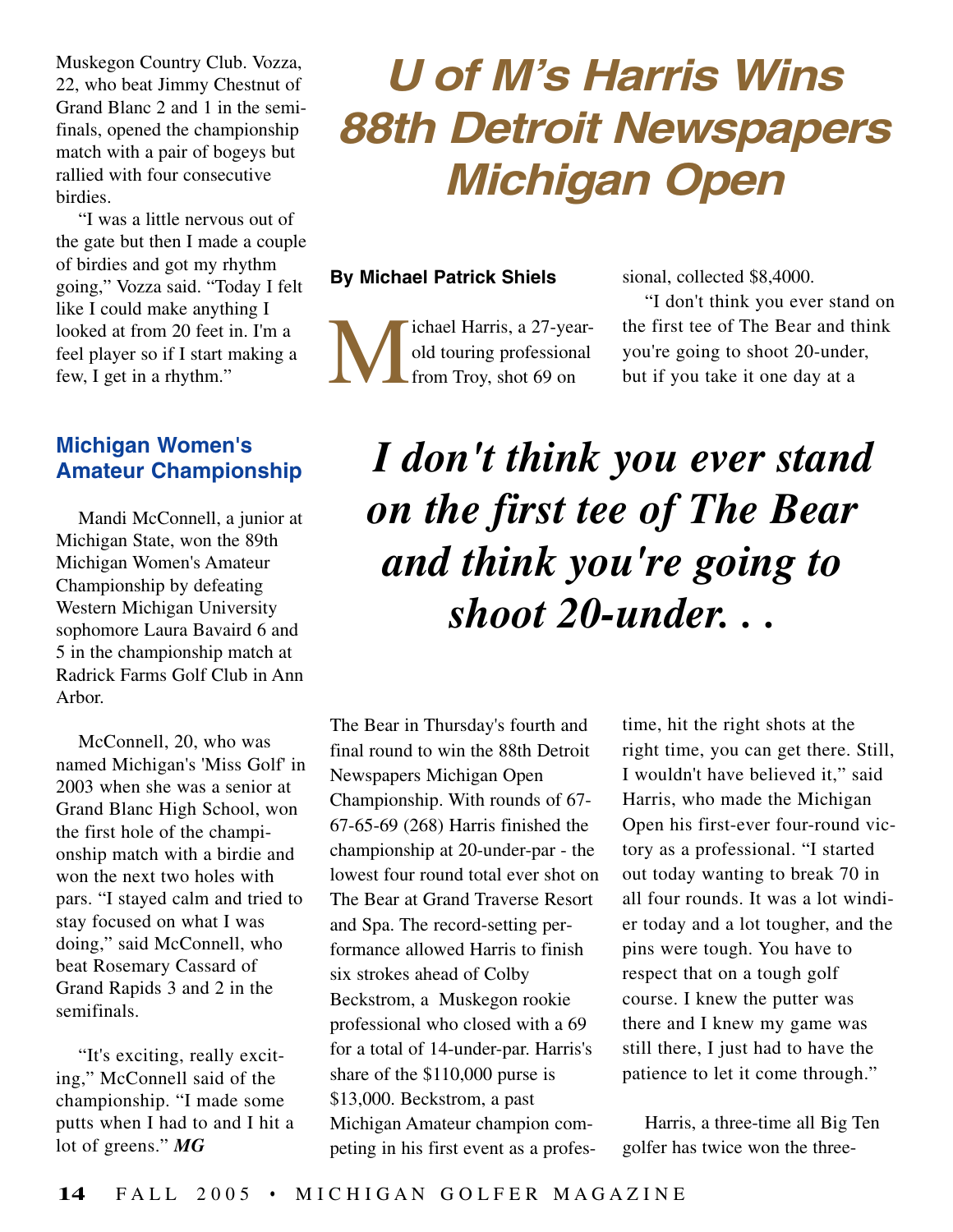Muskegon Country Club. Vozza, 22, who beat Jimmy Chestnut of Grand Blanc 2 and 1 in the semifinals, opened the championship match with a pair of bogeys but rallied with four consecutive birdies.

"I was a little nervous out of the gate but then I made a couple of birdies and got my rhythm going," Vozza said. "Today I felt like I could make anything I looked at from 20 feet in. I'm a feel player so if I start making a few, I get in a rhythm."

## **Michigan Women's Amateur Championship**

Mandi McConnell, a junior at Michigan State, won the 89th Michigan Women's Amateur Championship by defeating Western Michigan University sophomore Laura Bavaird 6 and 5 in the championship match at Radrick Farms Golf Club in Ann Arbor.

McConnell, 20, who was named Michigan's 'Miss Golf' in 2003 when she was a senior at Grand Blanc High School, won the first hole of the championship match with a birdie and won the next two holes with pars. "I stayed calm and tried to stay focused on what I was doing," said McConnell, who beat Rosemary Cassard of Grand Rapids 3 and 2 in the semifinals.

"It's exciting, really exciting," McConnell said of the championship. "I made some putts when I had to and I hit a lot of greens." *MG*

## **U of M's Harris Wins 88th Detroit Newspapers Michigan Open**

## **By Michael Patrick Shiels**

ichael Harris, a 27-yearold touring professional from Troy, shot 69 on

sional, collected \$8,4000.

"I don't think you ever stand on the first tee of The Bear and think you're going to shoot 20-under, but if you take it one day at a

## *I don't think you ever stand on the first tee of The Bear and think you're going to shoot 20-under. . .*

The Bear in Thursday's fourth and final round to win the 88th Detroit Newspapers Michigan Open Championship. With rounds of 67- 67-65-69 (268) Harris finished the championship at 20-under-par - the lowest four round total ever shot on The Bear at Grand Traverse Resort and Spa. The record-setting performance allowed Harris to finish six strokes ahead of Colby Beckstrom, a Muskegon rookie professional who closed with a 69 for a total of 14-under-par. Harris's share of the \$110,000 purse is \$13,000. Beckstrom, a past Michigan Amateur champion competing in his first event as a profestime, hit the right shots at the right time, you can get there. Still, I wouldn't have believed it," said Harris, who made the Michigan Open his first-ever four-round victory as a professional. "I started out today wanting to break 70 in all four rounds. It was a lot windier today and a lot tougher, and the pins were tough. You have to respect that on a tough golf course. I knew the putter was there and I knew my game was still there, I just had to have the patience to let it come through."

Harris, a three-time all Big Ten golfer has twice won the three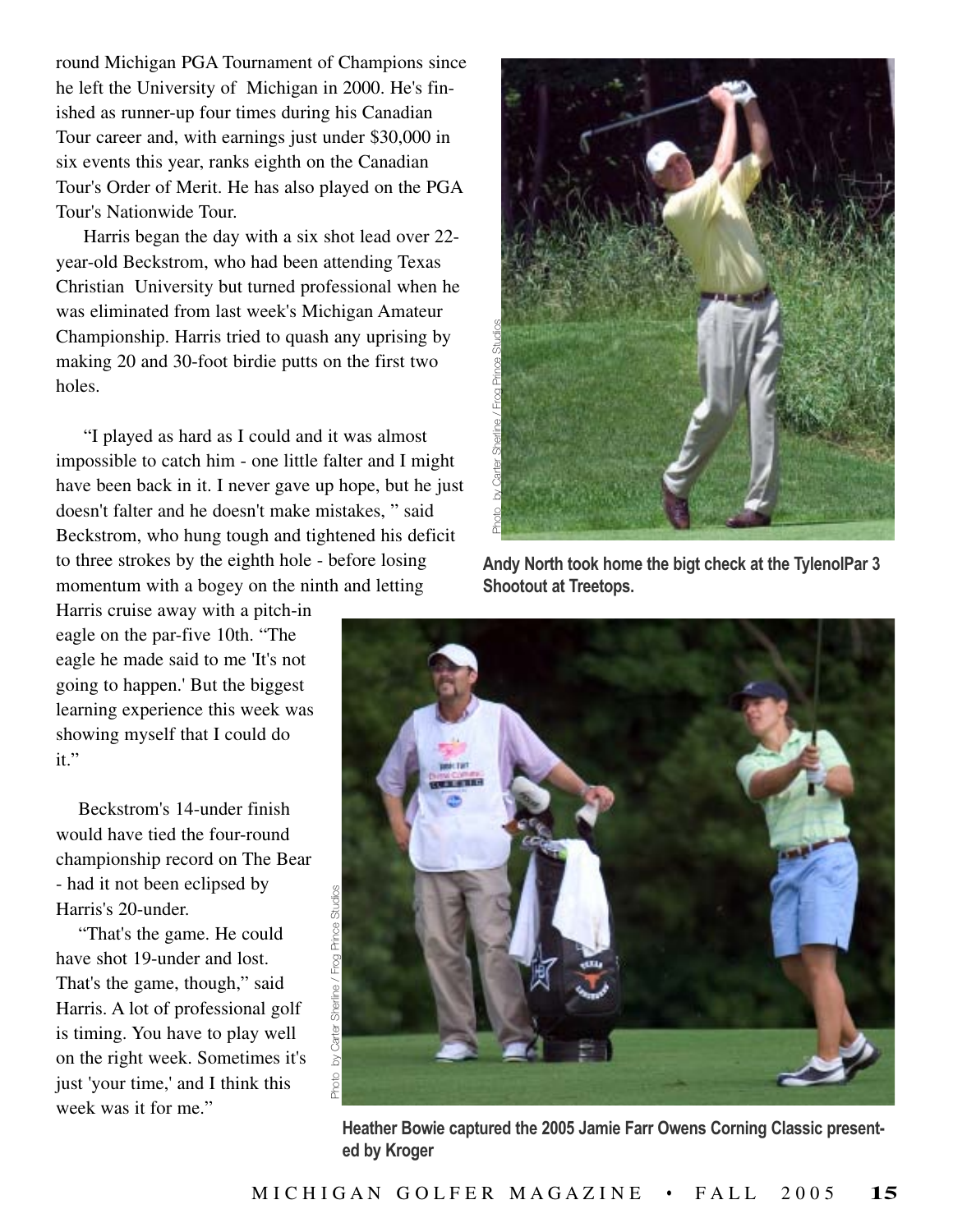round Michigan PGA Tournament of Champions since he left the University of Michigan in 2000. He's finished as runner-up four times during his Canadian Tour career and, with earnings just under \$30,000 in six events this year, ranks eighth on the Canadian Tour's Order of Merit. He has also played on the PGA Tour's Nationwide Tour.

Harris began the day with a six shot lead over 22 year-old Beckstrom, who had been attending Texas Christian University but turned professional when he was eliminated from last week's Michigan Amateur Championship. Harris tried to quash any uprising by making 20 and 30-foot birdie putts on the first two holes.

"I played as hard as I could and it was almost impossible to catch him - one little falter and I might have been back in it. I never gave up hope, but he just doesn't falter and he doesn't make mistakes, " said Beckstrom, who hung tough and tightened his deficit to three strokes by the eighth hole - before losing momentum with a bogey on the ninth and letting

Harris cruise away with a pitch-in eagle on the par-five 10th. "The eagle he made said to me 'It's not going to happen.' But the biggest learning experience this week was showing myself that I could do it."

Beckstrom's 14-under finish would have tied the four-round championship record on The Bear - had it not been eclipsed by Harris's 20-under.

"That's the game. He could have shot 19-under and lost. That's the game, though," said Harris. A lot of professional golf is timing. You have to play well on the right week. Sometimes it's just 'your time,' and I think this week was it for me."



**Andy North took home the bigt check at the TylenolPar 3 Shootout at Treetops.**



**Heather Bowie captured the 2005 Jamie Farr Owens Corning Classic present**ed by Kroger